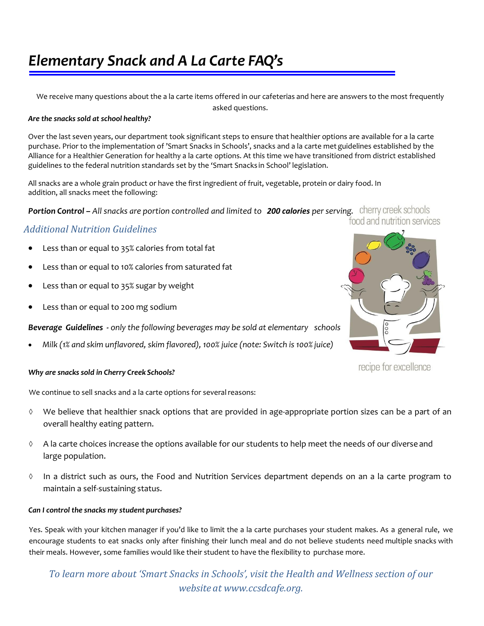## *Elementary Snack and A La Carte FAQ's*

We receive many questions about the a la carte items offered in our cafeterias and here are answers to the most frequently asked questions.

#### *Are the snacks sold at school healthy?*

Over the last seven years, our department took significant steps to ensure that healthier options are available for a la carte purchase. Prior to the implementation of 'Smart Snacks in Schools', snacks and a la carte met guidelines established by the Alliance for a Healthier Generation for healthy a la carte options. At this time we have transitioned from district established guidelines to the federal nutrition standards set by the 'Smart Snacks in School' legislation.

All snacks are a whole grain product or have the first ingredient of fruit, vegetable, protein or dairy food. In addition, all snacks meet the following:

*Portion Control* **–** *All snacks are portion controlled and limited to 200 calories per serving.*

## *Additional Nutrition Guidelines*

- Less than or equal to 35% calories from total fat
- Less than or equal to 10% calories from saturated fat
- Less than or equal to 35% sugar by weight
- Less than or equal to 200 mg sodium

*Beverage Guidelines - only the following beverages may be sold at elementary schools*

*Milk (1% and skim unflavored, skim flavored), 100% juice (note: Switch is 100% juice)*



recipe for excellence

#### *Why are snacks sold in Cherry Creek Schools?*

We continue to sell snacks and a la carte options for several reasons:

- $\Diamond$  We believe that healthier snack options that are provided in age-appropriate portion sizes can be a part of an overall healthy eating pattern.
- $\lozenge$  A la carte choices increase the options available for our students to help meet the needs of our diverse and large population.
- $\Diamond$  In a district such as ours, the Food and Nutrition Services department depends on an a la carte program to maintain a self-sustaining status.

## *Can I control the snacks my student purchases?*

Yes. Speak with your kitchen manager if you'd like to limit the a la carte purchases your student makes. As a general rule, we encourage students to eat snacks only after finishing their lunch meal and do not believe students need multiple snacks with their meals. However, some families would like their student to have the flexibility to purchase more.

*To learn more about 'Smart Snacks in Schools', visit the Health and Wellness section of our website at [www.ccsdcafe.org.](http://www.ccsdcafe.org/)*